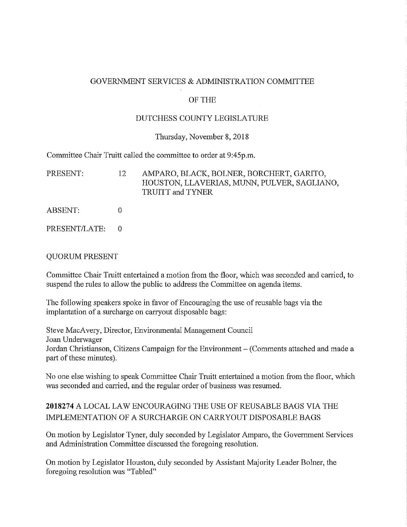#### GOVERNMENT SERVICES & ADMINISTRATION COMMITTEE

## OFTHE

#### DUTCHESS COUNTY LEGISLATURE

#### Thursday, November 8, 2018

Committee Chair Truitt called the committee to order at 9:45p.m.

PRESENT: 12 AMPARO, BLACK, BOLNER, BORCHERT, GARITO, HOUSTON, LLA VERIAS, MUNN, PULVER, SAGLIANO, TRUITT and TYNER

- ABSENT: 0
- PRESENT/LATE: 0

### QUORUM PRESENT

Committee Chair Truitt entertained a motion from the floor, which was seconded and carried, to suspend the rules to allow the public to address the Committee on agenda items.

The following speakers spoke in favor of Encouraging the use of reusable bags via the implantation of a surcharge on carryout disposable bags:

Steve MacAvery, Director, Environmental Management Council Joan Underwager Jordan Christianson, Citizens Campaign for the Environment - (Comments attached and made a part of these minutes).

No one else wishing to speak Committee Chair Truitt entertained a motion from the floor, which was seconded and carried, and the regular order of business was resumed.

# **2018274** A LOCAL LAW ENCOURAGING THE USE OF REUSABLE BAGS VIA THE IMPLEMENTATION OF A SURCHARGE ON CARRYOUT DISPOSABLE BAGS

On motion by Legislator Tyner, duly seconded by Legislator Amparo, the Government Services and Administration Committee discussed the foregoing resolution.

On motion by Legislator Houston, duly seconded by Assistant Majority Leader Bolner, the foregoing resolution was "Tabled"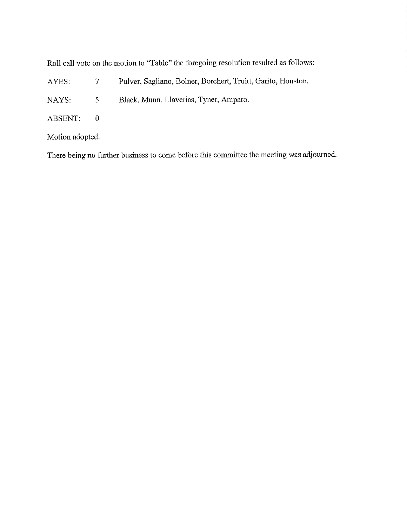Roll call vote on the motion to "Table" the foregoing resolution resulted as follows:

AYES: 7 Pulver, Sagliano, Bolner, Borchert, Truitt, Garito, Houston.

NAYS: 5 Black, Munn, Llaverias, Tyner, Amparo.

ABSENT: 0

Motion adopted.

 $\alpha$ 

There being no further business to come before this committee the meeting was adjourned.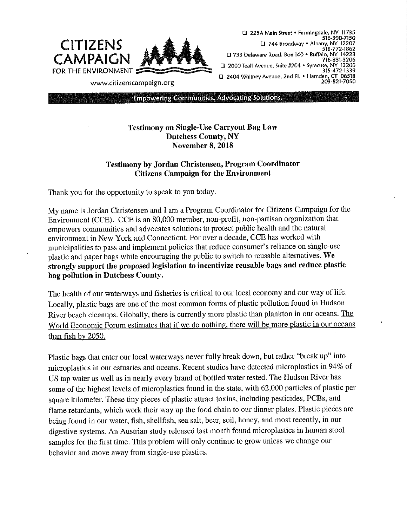

□ 225A Main Street • Farmingdale, NY 11735 516-390-7150 □ 744 Broadway• Albany, NY 12207 518-772-1862 □ 733 Delaware Road, Box 140 • Buffalo, NY 14223 716-831-3206 □ 2000 Teall Avenue, Suite #204 • Syracuse, NY 13206 315-472-1339 □ 2404 Whitney Avenue, 2nd Fl. • Hamden, CT 06518 203-821-7050

www.citizenscampaign.org

**Empowering Communities, Advocating Solutions.** 

**Testimony on Single-Use Carryout Bag Law Dutchess County, NY November 8, 2018** 

# **Testimony by Jordan Christensen, Program Coordinator Citizens Campaign for the Environment**

Thank you for the opportunity to speak to you today.

My name is Jordan Christensen and I am a Program Coordinator for Citizens Campaign for the Environment (CCE). CCE is an 80,000 member, non-profit, non-partisan organization that empowers communities and advocates solutions to protect public health and the natural environment in New York and Connecticut. For over a decade, CCE has worked with municipalities to pass and implement policies that reduce consumer's reliance on single-use plastic and paper bags while encouraging the public to switch to reusable alternatives. **We strongly support the proposed legislation to incentivize reusable bags and reduce plastic bag pollution in Dutchess County.** 

The health of our waterways and fisheries is critical to our local economy and our way of life. Locally, plastic bags are one of the most common forms of plastic pollution found in Hudson River beach cleanups. Globally, there is currently more plastic than plankton in our oceans. The World Economic Forum estimates that if we do nothing, there will be more plastic in our oceans than fish by 2050.

Plastic bags that enter our local waterways never fully break down, but rather "break up" into microplastics in our estuaries and oceans. Recent studies have detected microplastics in 94% of US tap water as well as in nearly every brand of bottled water tested. The Hudson River has some of the highest levels of microplastics found in the state, with 62,000 particles of plastic per square kilometer. These tiny pieces of plastic attract toxins, including pesticides, PCBs, and flame retardants, which work their way up the food chain to our dinner plates. Plastic pieces are being found in our water, fish, shellfish, sea salt, beer, soil, honey, and most recently, in our digestive systems. An Austrian study released last month found microplastics in human stool samples for the first time. This problem will only continue to grow unless we change our behavior and move away from single-use plastics.